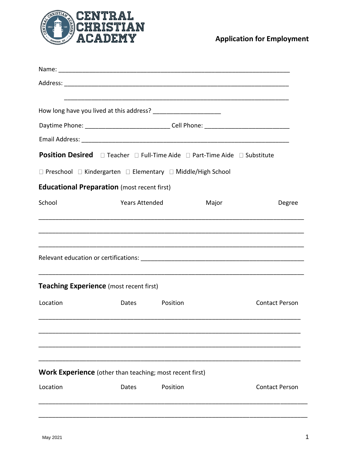

**Application for Employment** 

|          | Daytime Phone: ________________________________Cell Phone: _____________________ |          |                       |
|----------|----------------------------------------------------------------------------------|----------|-----------------------|
|          |                                                                                  |          |                       |
|          | <b>Position Desired</b> □ Teacher □ Full-Time Aide □ Part-Time Aide □ Substitute |          |                       |
|          | $\Box$ Preschool $\Box$ Kindergarten $\Box$ Elementary $\Box$ Middle/High School |          |                       |
|          | <b>Educational Preparation</b> (most recent first)                               |          |                       |
| School   | <b>Years Attended</b>                                                            | Major    | Degree                |
|          |                                                                                  |          |                       |
|          |                                                                                  |          |                       |
|          |                                                                                  |          |                       |
|          | <b>Teaching Experience</b> (most recent first)                                   |          |                       |
| Location | Dates Position                                                                   |          | <b>Contact Person</b> |
|          |                                                                                  |          |                       |
|          |                                                                                  |          |                       |
|          |                                                                                  |          |                       |
|          | <b>Work Experience</b> (other than teaching; most recent first)                  |          |                       |
| Location | Dates                                                                            | Position | <b>Contact Person</b> |
|          |                                                                                  |          |                       |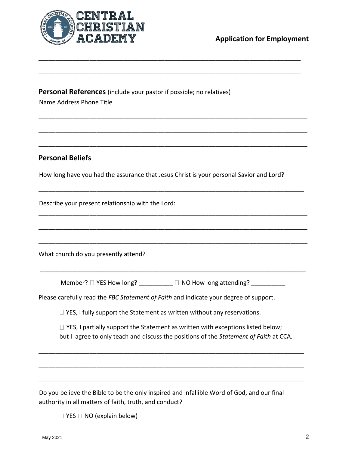

**Personal References** (include your pastor if possible; no relatives) Name Address Phone Title

## **Personal Beliefs**

How long have you had the assurance that Jesus Christ is your personal Savior and Lord?

\_\_\_\_\_\_\_\_\_\_\_\_\_\_\_\_\_\_\_\_\_\_\_\_\_\_\_\_\_\_\_\_\_\_\_\_\_\_\_\_\_\_\_\_\_\_\_\_\_\_\_\_\_\_\_\_\_\_\_\_\_\_\_\_\_\_\_\_\_\_\_\_\_\_\_\_\_

\_\_\_\_\_\_\_\_\_\_\_\_\_\_\_\_\_\_\_\_\_\_\_\_\_\_\_\_\_\_\_\_\_\_\_\_\_\_\_\_\_\_\_\_\_\_\_\_\_\_\_\_\_\_\_\_\_\_\_\_\_\_\_\_\_\_\_\_\_\_\_\_\_\_\_\_\_

\_\_\_\_\_\_\_\_\_\_\_\_\_\_\_\_\_\_\_\_\_\_\_\_\_\_\_\_\_\_\_\_\_\_\_\_\_\_\_\_\_\_\_\_\_\_\_\_\_\_\_\_\_\_\_\_\_\_\_\_\_\_\_\_\_\_\_\_\_\_\_\_\_\_\_\_\_\_\_

\_\_\_\_\_\_\_\_\_\_\_\_\_\_\_\_\_\_\_\_\_\_\_\_\_\_\_\_\_\_\_\_\_\_\_\_\_\_\_\_\_\_\_\_\_\_\_\_\_\_\_\_\_\_\_\_\_\_\_\_\_\_\_\_\_\_\_\_\_\_\_\_\_\_\_\_\_\_\_

\_\_\_\_\_\_\_\_\_\_\_\_\_\_\_\_\_\_\_\_\_\_\_\_\_\_\_\_\_\_\_\_\_\_\_\_\_\_\_\_\_\_\_\_\_\_\_\_\_\_\_\_\_\_\_\_\_\_\_\_\_\_\_\_\_\_\_\_\_\_\_\_\_\_\_\_\_\_\_

\_\_\_\_\_\_\_\_\_\_\_\_\_\_\_\_\_\_\_\_\_\_\_\_\_\_\_\_\_\_\_\_\_\_\_\_\_\_\_\_\_\_\_\_\_\_\_\_\_\_\_\_\_\_\_\_\_\_\_\_\_\_\_\_\_\_\_\_\_\_\_\_\_\_\_\_\_\_

\_\_\_\_\_\_\_\_\_\_\_\_\_\_\_\_\_\_\_\_\_\_\_\_\_\_\_\_\_\_\_\_\_\_\_\_\_\_\_\_\_\_\_\_\_\_\_\_\_\_\_\_\_\_\_\_\_\_\_\_\_\_\_\_\_\_\_\_\_\_\_\_\_\_\_\_\_\_\_

\_\_\_\_\_\_\_\_\_\_\_\_\_\_\_\_\_\_\_\_\_\_\_\_\_\_\_\_\_\_\_\_\_\_\_\_\_\_\_\_\_\_\_\_\_\_\_\_\_\_\_\_\_\_\_\_\_\_\_\_\_\_\_\_\_\_\_\_\_\_\_\_\_\_\_\_\_\_\_

\_\_\_\_\_\_\_\_\_\_\_\_\_\_\_\_\_\_\_\_\_\_\_\_\_\_\_\_\_\_\_\_\_\_\_\_\_\_\_\_\_\_\_\_\_\_\_\_\_\_\_\_\_\_\_\_\_\_\_\_\_\_\_\_\_\_\_\_\_\_\_\_\_\_\_\_\_\_\_

Describe your present relationship with the Lord:

What church do you presently attend?

Member?  $\Box$  YES How long? \_\_\_\_\_\_\_\_\_  $\Box$  NO How long attending? \_\_\_\_\_\_\_\_\_\_

\_\_\_\_\_\_\_\_\_\_\_\_\_\_\_\_\_\_\_\_\_\_\_\_\_\_\_\_\_\_\_\_\_\_\_\_\_\_\_\_\_\_\_\_\_\_\_\_\_\_\_\_\_\_\_\_\_\_\_\_\_\_\_\_\_\_\_\_\_\_\_\_\_\_\_\_\_\_

Please carefully read the *FBC Statement of Faith* and indicate your degree of support.

 $\Box$  YES, I fully support the Statement as written without any reservations.

 $\Box$  YES, I partially support the Statement as written with exceptions listed below; but I agree to only teach and discuss the positions of the *Statement of Faith* at CCA.

\_\_\_\_\_\_\_\_\_\_\_\_\_\_\_\_\_\_\_\_\_\_\_\_\_\_\_\_\_\_\_\_\_\_\_\_\_\_\_\_\_\_\_\_\_\_\_\_\_\_\_\_\_\_\_\_\_\_\_\_\_\_\_\_\_\_\_\_\_\_\_\_\_\_\_\_\_\_

\_\_\_\_\_\_\_\_\_\_\_\_\_\_\_\_\_\_\_\_\_\_\_\_\_\_\_\_\_\_\_\_\_\_\_\_\_\_\_\_\_\_\_\_\_\_\_\_\_\_\_\_\_\_\_\_\_\_\_\_\_\_\_\_\_\_\_\_\_\_\_\_\_\_\_\_\_\_

\_\_\_\_\_\_\_\_\_\_\_\_\_\_\_\_\_\_\_\_\_\_\_\_\_\_\_\_\_\_\_\_\_\_\_\_\_\_\_\_\_\_\_\_\_\_\_\_\_\_\_\_\_\_\_\_\_\_\_\_\_\_\_\_\_\_\_\_\_\_\_\_\_\_\_\_\_\_

Do you believe the Bible to be the only inspired and infallible Word of God, and our final authority in all matters of faith, truth, and conduct?

 $\Box$  YES  $\Box$  NO (explain below)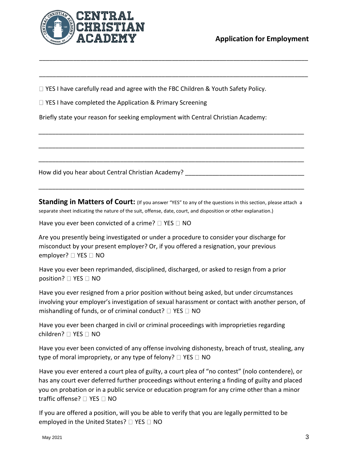

 $\Box$  YES I have carefully read and agree with the FBC Children & Youth Safety Policy.

\_\_\_\_\_\_\_\_\_\_\_\_\_\_\_\_\_\_\_\_\_\_\_\_\_\_\_\_\_\_\_\_\_\_\_\_\_\_\_\_\_\_\_\_\_\_\_\_\_\_\_\_\_\_\_\_\_\_\_\_\_\_\_\_\_\_\_\_\_\_\_\_\_\_\_\_\_\_\_

\_\_\_\_\_\_\_\_\_\_\_\_\_\_\_\_\_\_\_\_\_\_\_\_\_\_\_\_\_\_\_\_\_\_\_\_\_\_\_\_\_\_\_\_\_\_\_\_\_\_\_\_\_\_\_\_\_\_\_\_\_\_\_\_\_\_\_\_\_\_\_\_\_\_\_\_\_\_\_

\_\_\_\_\_\_\_\_\_\_\_\_\_\_\_\_\_\_\_\_\_\_\_\_\_\_\_\_\_\_\_\_\_\_\_\_\_\_\_\_\_\_\_\_\_\_\_\_\_\_\_\_\_\_\_\_\_\_\_\_\_\_\_\_\_\_\_\_\_\_\_\_\_\_\_\_\_\_

\_\_\_\_\_\_\_\_\_\_\_\_\_\_\_\_\_\_\_\_\_\_\_\_\_\_\_\_\_\_\_\_\_\_\_\_\_\_\_\_\_\_\_\_\_\_\_\_\_\_\_\_\_\_\_\_\_\_\_\_\_\_\_\_\_\_\_\_\_\_\_\_\_\_\_\_\_\_

\_\_\_\_\_\_\_\_\_\_\_\_\_\_\_\_\_\_\_\_\_\_\_\_\_\_\_\_\_\_\_\_\_\_\_\_\_\_\_\_\_\_\_\_\_\_\_\_\_\_\_\_\_\_\_\_\_\_\_\_\_\_\_\_\_\_\_\_\_\_\_\_\_\_\_\_\_\_

 $\Box$  YES I have completed the Application & Primary Screening

Briefly state your reason for seeking employment with Central Christian Academy:

How did you hear about Central Christian Academy?

**Standing in Matters of Court:** (If you answer "YES" to any of the questions in this section, please attach a separate sheet indicating the nature of the suit, offense, date, court, and disposition or other explanation.)

\_\_\_\_\_\_\_\_\_\_\_\_\_\_\_\_\_\_\_\_\_\_\_\_\_\_\_\_\_\_\_\_\_\_\_\_\_\_\_\_\_\_\_\_\_\_\_\_\_\_\_\_\_\_\_\_\_\_\_\_\_\_\_\_\_\_\_\_\_\_\_\_\_\_\_\_\_\_

Have you ever been convicted of a crime?  $\Box$  YES  $\Box$  NO

Are you presently being investigated or under a procedure to consider your discharge for misconduct by your present employer? Or, if you offered a resignation, your previous employer?  $\Box$  YES  $\Box$  NO

Have you ever been reprimanded, disciplined, discharged, or asked to resign from a prior position? YES NO

Have you ever resigned from a prior position without being asked, but under circumstances involving your employer's investigation of sexual harassment or contact with another person, of mishandling of funds, or of criminal conduct?  $\Box$  YES  $\Box$  NO

Have you ever been charged in civil or criminal proceedings with improprieties regarding children?  $\Box$  YES  $\Box$  NO

Have you ever been convicted of any offense involving dishonesty, breach of trust, stealing, any type of moral impropriety, or any type of felony?  $\Box$  YES  $\Box$  NO

Have you ever entered a court plea of guilty, a court plea of "no contest" (nolo contendere), or has any court ever deferred further proceedings without entering a finding of guilty and placed you on probation or in a public service or education program for any crime other than a minor traffic offense?  $\Box$  YES  $\Box$  NO

If you are offered a position, will you be able to verify that you are legally permitted to be employed in the United States?  $\Box$  YES  $\Box$  NO